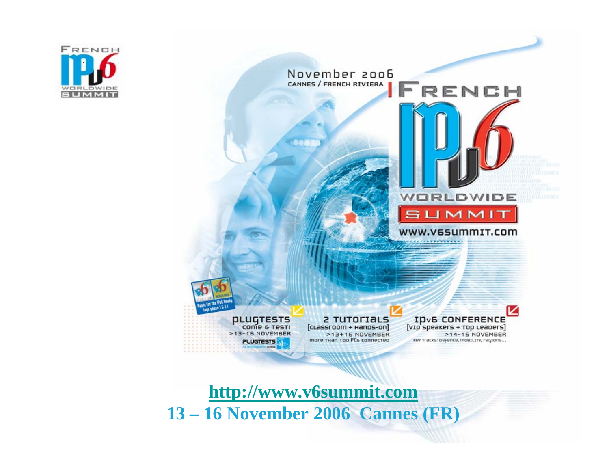

November 2006 CANNES / FRENCH RIVIERA JFRENCH

> 2 TUTOrIALS **ID<sub>v</sub>6 CONFERENCE**  $[$ v $ip$  speakers +  $rop$  Leapers $]$  $>13+16$  NOVEMBER key tracks: defence, mostury, regions...

WORLDWIDE

**SUMMIT** 

www.v6summIT.com

>14-15 NOVEMBER

[cLassroom + Hanos-on] more тнап 100 PCs connected

**PLUGTESTS** COME & TEST!

>13-16 NOVEMBER **PLUGTESTS** 

 $h = 162$ 

**[http://www.v6summit.com](http://www.v6summit.com/) 13 – 16 November 2006 Cannes (FR)**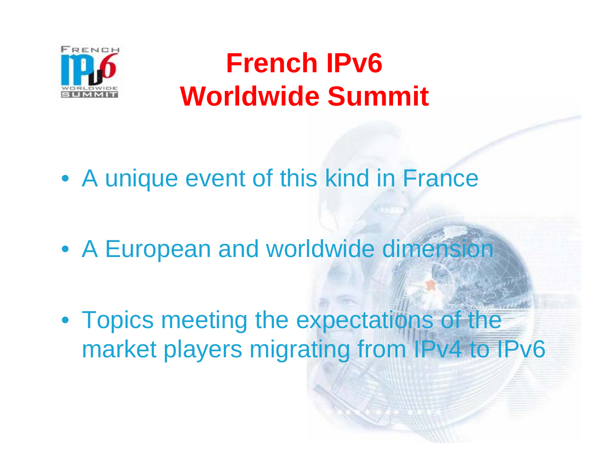

## **French IPv6 Worldwide Summit**

• A unique event of this kind in France

• A European and worldwide dimension

• Topics meeting the expectations of the market players migrating from IPv4 to IPv6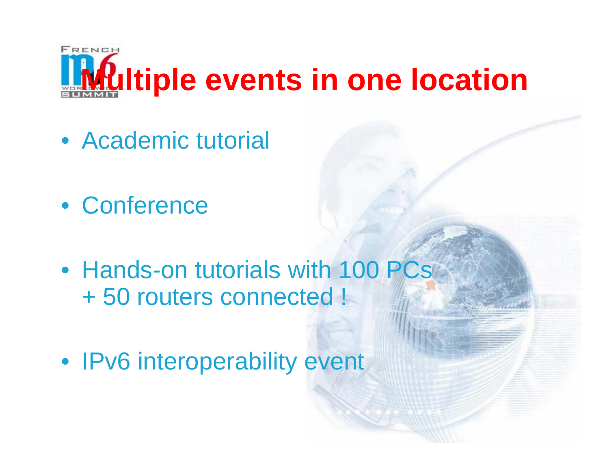

- Academic tutorial
- Conference
- Hands-on tutorials with 100 PCs + 50 routers connected !
- IPv6 interoperability event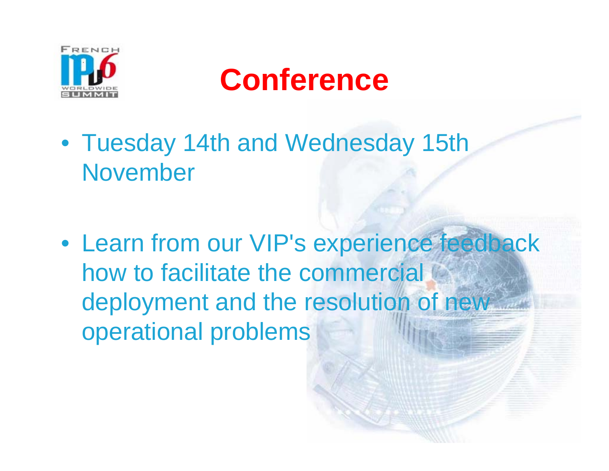



• Tuesday 14th and Wednesday 15th November

• Learn from our VIP's experience feedback how to facilitate the commercial deployment and the resolution of new operational problems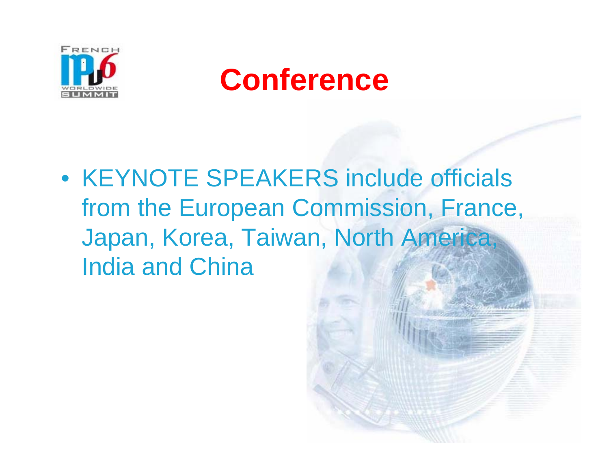



• KEYNOTE SPEAKERS include officials from the European Commission, France, Japan, Korea, Taiwan, North America, India and China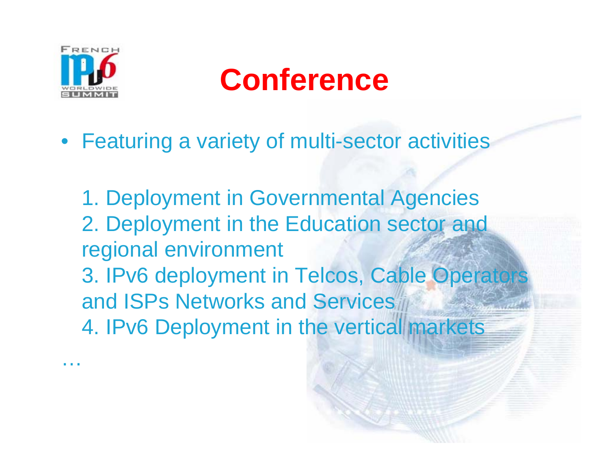

…

# **Conference**

- Featuring a variety of multi-sector activities
	- 1. Deployment in Governmental Agencies 2. Deployment in the Education sector and regional environment 3. IPv6 deployment in Telcos, Cable Operators and ISPs Networks and Services 4. IPv6 Deployment in the vertical markets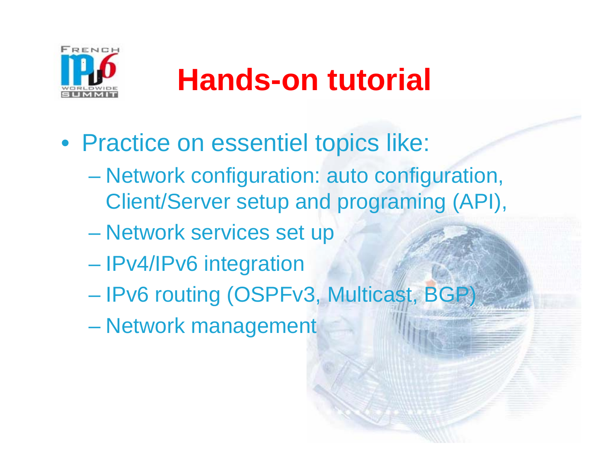

# **Hands-on tutorial**

- Practice on essentiel topics like:
	- Network configuration: auto configuration, Client/Server setup and programing (API),
	- **Holland** and the control Network services set up
	- **Hart Common** IPv4/IPv6 integration
	- **Holland** and the control IPv6 routing (OSPFv3, Multicast, BGP)
	- **Holland** and the control Network management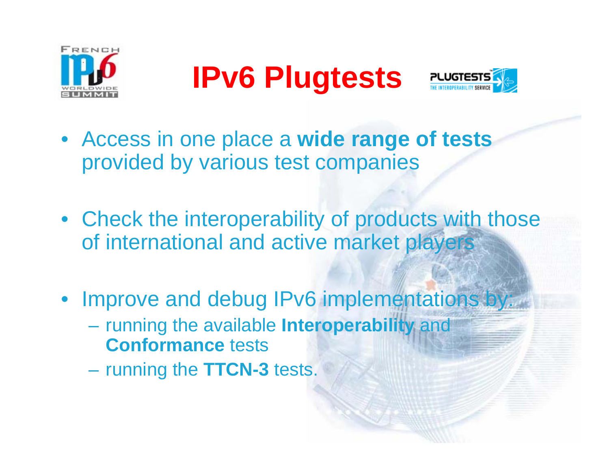

**IPv6 Plugtests** 



- Access in one place a **wide range of tests**  provided by various test companies
- Check the interoperability of products with those of international and active market players
- Improve and debug IPv6 implementations by:
	- running the available **Interoperability** and **Conformance** tests
	- running the **TTCN-3** tests.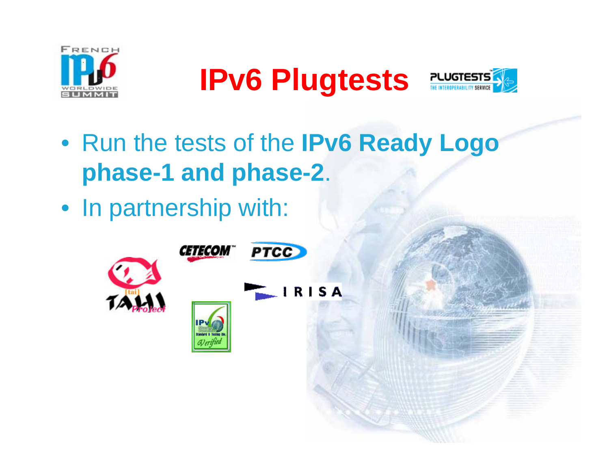

**IPv6 Plugtests** 



- Run the tests of the **IPv6 Ready Logo phase-1 and phase-2**.
- In partnership with: